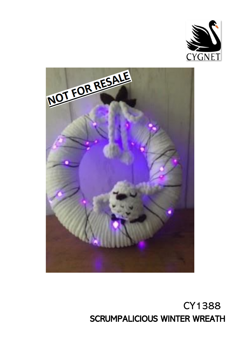



# CY1388 SCRUMPALICIOUS WINTER WREATH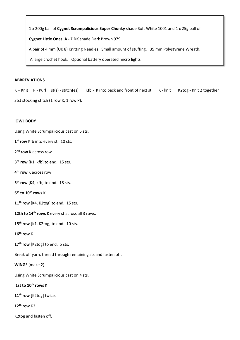1 x 200g ball of **Cygnet Scrumpalicious Super Chunky** shade Soft White 1001 and 1 x 25g ball of

**Cygnet Little Ones A - Z DK** shade Dark Brown 979

A pair of 4 mm (UK 8) Knitting Needles. Small amount of stuffing. 35 mm Polystyrene Wreath.

A large crochet hook. Optional battery operated micro lights

### **ABBREVIATIONS**

K – Knit P - Purl st(s) - stitch(es) Kfb - K into back and front of next st K - knit K2tog - Knit 2 together Stst stocking stitch (1 row K, 1 row P).

#### **OWL BODY**

Using White Scrumpalicious cast on 5 sts.

**1 st row** Kfb into every st. 10 sts.

**2 nd row** K across row

**3 rd row** [K1, kfb] to end. 15 sts.

**4 th row** K across row

**5 th row** [K4, kfb] to end. 18 sts.

**6 th to 10th rows** K

**11th row** [K4, K2tog] to end. 15 sts.

**12th to 14th rows** K every st across all 3 rows.

**15th row** [K1, K2tog] to end. 10 sts.

**16th row** K

**17th row** [K2tog] to end. 5 sts.

Break off yarn, thread through remaining sts and fasten off.

**WING**S (make 2)

Using White Scrumpalicious cast on 4 sts.

**1st to 10th rows** K

**11th row** [K2tog] twice.

**12th row** K2.

K2tog and fasten off.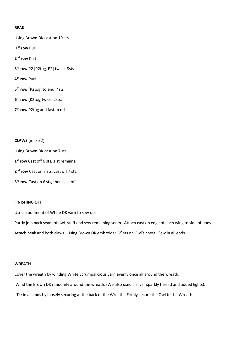## **BEAK**

Using Brown DK cast on 10 sts.

**1 st row** Purl

**2 nd row** Knit

**3 rd row** P2 [P2tog, P2] twice. 8sts

**4 th row** Purl

**5 th row** [P2tog] to end. 4sts

**6 th row** [K2tog]twice. 2sts.

**7 th row** P2tog and fasten off.

**CLAWS** (make 2)

Using Brown DK cast on 7 sts.

**1 st row** Cast off 6 sts, 1 st remains.

**2 nd row** Cast on 7 sts, cast off 7 sts.

**3 rd row** Cast on 6 sts, then cast off.

# **FINISHING OFF**

Use an oddment of White DK yarn to sew up.

Partly join back seam of owl, stuff and sew remaining seam. Attach cast on edge of each wing to side of body. Attach beak and both claws. Using Brown DK embroider 'V' sts on Owl's chest. Sew in all ends.

# **WREATH**

Cover the wreath by winding White Scrumpalicious yarn evenly once all around the wreath.

Wind the Brown DK randomly around the wreath. (We also used a silver sparkly thread and added lights).

Tie in all ends by loosely securing at the back of the Wreath. Firmly secure the Owl to the Wreath.